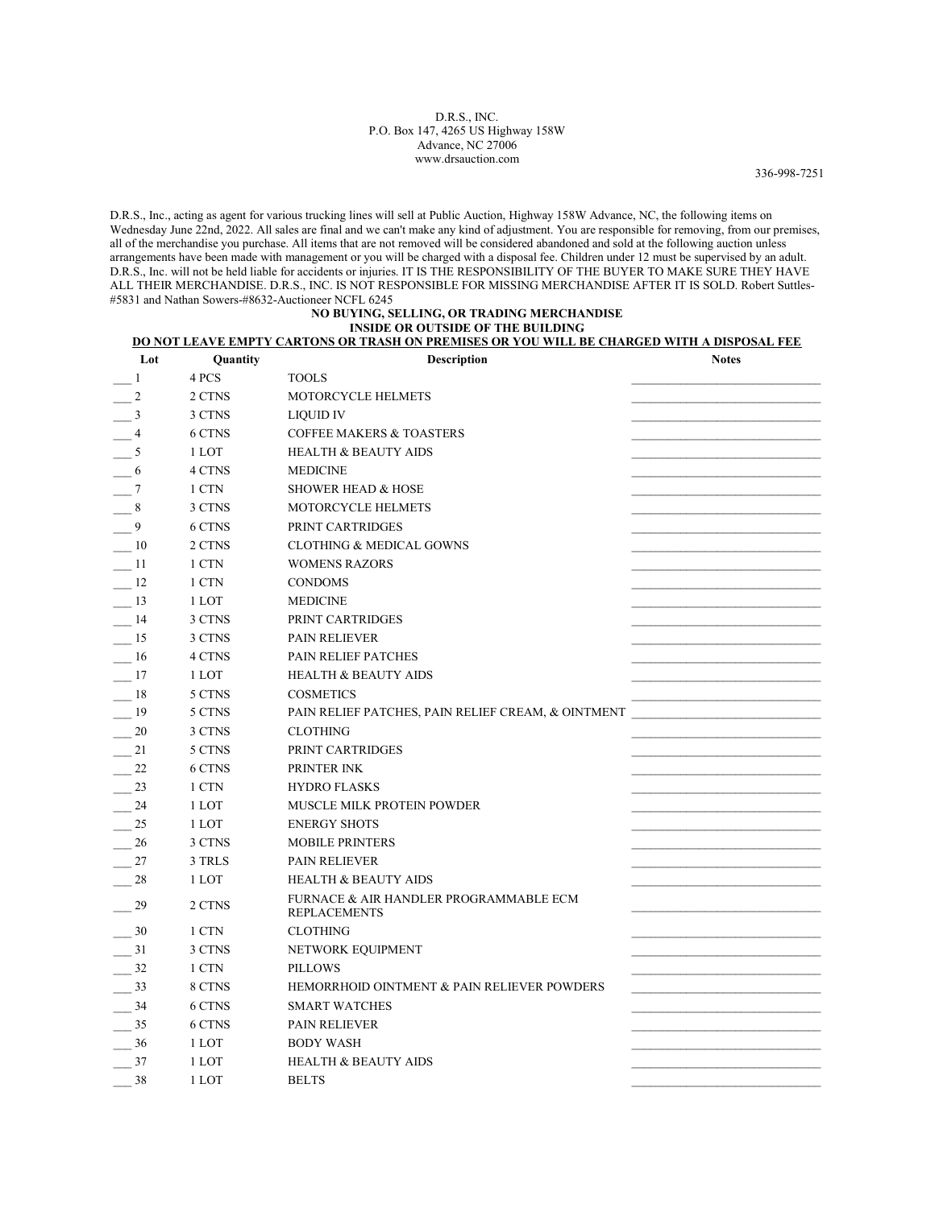## D.R.S., INC. P.O. Box 147, 4265 US Highway 158W Advance, NC 27006 www.drsauction.com

336-998-7251

D.R.S., Inc., acting as agent for various trucking lines will sell at Public Auction, Highway 158W Advance, NC, the following items on Wednesday June 22nd, 2022. All sales are final and we can't make any kind of adjustment. You are responsible for removing, from our premises, all of the merchandise you purchase. All items that are not removed will be considered abandoned and sold at the following auction unless arrangements have been made with management or you will be charged with a disposal fee. Children under 12 must be supervised by an adult. D.R.S., Inc. will not be held liable for accidents or injuries. IT IS THE RESPONSIBILITY OF THE BUYER TO MAKE SURE THEY HAVE ALL THEIR MERCHANDISE. D.R.S., INC. IS NOT RESPONSIBLE FOR MISSING MERCHANDISE AFTER IT IS SOLD. Robert Suttles- #5831 and Nathan Sowers-#8632-Auctioneer NCFL 6245

## NO BUYING, SELLING, OR TRADING MERCHANDISE INSIDE OR OUTSIDE OF THE BUILDING

## DO NOT LEAVE EMPTY CARTONS OR TRASH ON PREMISES OR YOU WILL BE CHARGED WITH A DISPOSAL FEE

| Lot               | Quantity | Description                                                   | <b>Notes</b> |
|-------------------|----------|---------------------------------------------------------------|--------------|
| -1                | 4 PCS    | <b>TOOLS</b>                                                  |              |
| $\frac{1}{2}$     | 2 CTNS   | <b>MOTORCYCLE HELMETS</b>                                     |              |
| $-$ <sup>3</sup>  | 3 CTNS   | LIQUID IV                                                     |              |
| $-4$              | 6 CTNS   | <b>COFFEE MAKERS &amp; TOASTERS</b>                           |              |
| $-5$              | 1 LOT    | <b>HEALTH &amp; BEAUTY AIDS</b>                               |              |
| $-6$              | 4 CTNS   | <b>MEDICINE</b>                                               |              |
| $-7$              | 1 CTN    | <b>SHOWER HEAD &amp; HOSE</b>                                 |              |
| $-$ 8             | 3 CTNS   | MOTORCYCLE HELMETS                                            |              |
| $-9$              | 6 CTNS   | PRINT CARTRIDGES                                              |              |
| $\frac{10}{2}$    | 2 CTNS   | <b>CLOTHING &amp; MEDICAL GOWNS</b>                           |              |
| $-11$             | 1 CTN    | <b>WOMENS RAZORS</b>                                          |              |
| $-12$             | 1 CTN    | <b>CONDOMS</b>                                                |              |
| $-13$             | 1 LOT    | <b>MEDICINE</b>                                               |              |
| $-14$             | 3 CTNS   | PRINT CARTRIDGES                                              |              |
| $-15$             | 3 CTNS   | <b>PAIN RELIEVER</b>                                          |              |
| -16               | 4 CTNS   | <b>PAIN RELIEF PATCHES</b>                                    |              |
| $-17$             | 1 LOT    | <b>HEALTH &amp; BEAUTY AIDS</b>                               |              |
| $-$ 18            | 5 CTNS   | <b>COSMETICS</b>                                              |              |
| $-$ 19            | 5 CTNS   | PAIN RELIEF PATCHES, PAIN RELIEF CREAM, & OINTMENT            |              |
| $-$ 20            | 3 CTNS   | <b>CLOTHING</b>                                               |              |
| $-$ <sup>21</sup> | 5 CTNS   | PRINT CARTRIDGES                                              |              |
| 22                | 6 CTNS   | PRINTER INK                                                   |              |
| $-23$             | 1 CTN    | <b>HYDRO FLASKS</b>                                           |              |
| $-24$             | 1 LOT    | MUSCLE MILK PROTEIN POWDER                                    |              |
| $-$ 25            | 1 LOT    | <b>ENERGY SHOTS</b>                                           |              |
| 26                | 3 CTNS   | <b>MOBILE PRINTERS</b>                                        |              |
| $-27$             | 3 TRLS   | <b>PAIN RELIEVER</b>                                          |              |
| $-$ 28            | 1 LOT    | <b>HEALTH &amp; BEAUTY AIDS</b>                               |              |
| 29                | 2 CTNS   | FURNACE & AIR HANDLER PROGRAMMABLE ECM<br><b>REPLACEMENTS</b> |              |
| 30                | 1 CTN    | <b>CLOTHING</b>                                               |              |
| 31                | 3 CTNS   | NETWORK EQUIPMENT                                             |              |
| $-32$             | 1 CTN    | <b>PILLOWS</b>                                                |              |
| $-$ 33            | 8 CTNS   | HEMORRHOID OINTMENT & PAIN RELIEVER POWDERS                   |              |
| $-$ 34            | 6 CTNS   | <b>SMART WATCHES</b>                                          |              |
| $-$ 35            | 6 CTNS   | <b>PAIN RELIEVER</b>                                          |              |
| $-36$             | 1 LOT    | <b>BODY WASH</b>                                              |              |
| $-37$             | 1 LOT    | <b>HEALTH &amp; BEAUTY AIDS</b>                               |              |
| 38                | 1 LOT    | <b>BELTS</b>                                                  |              |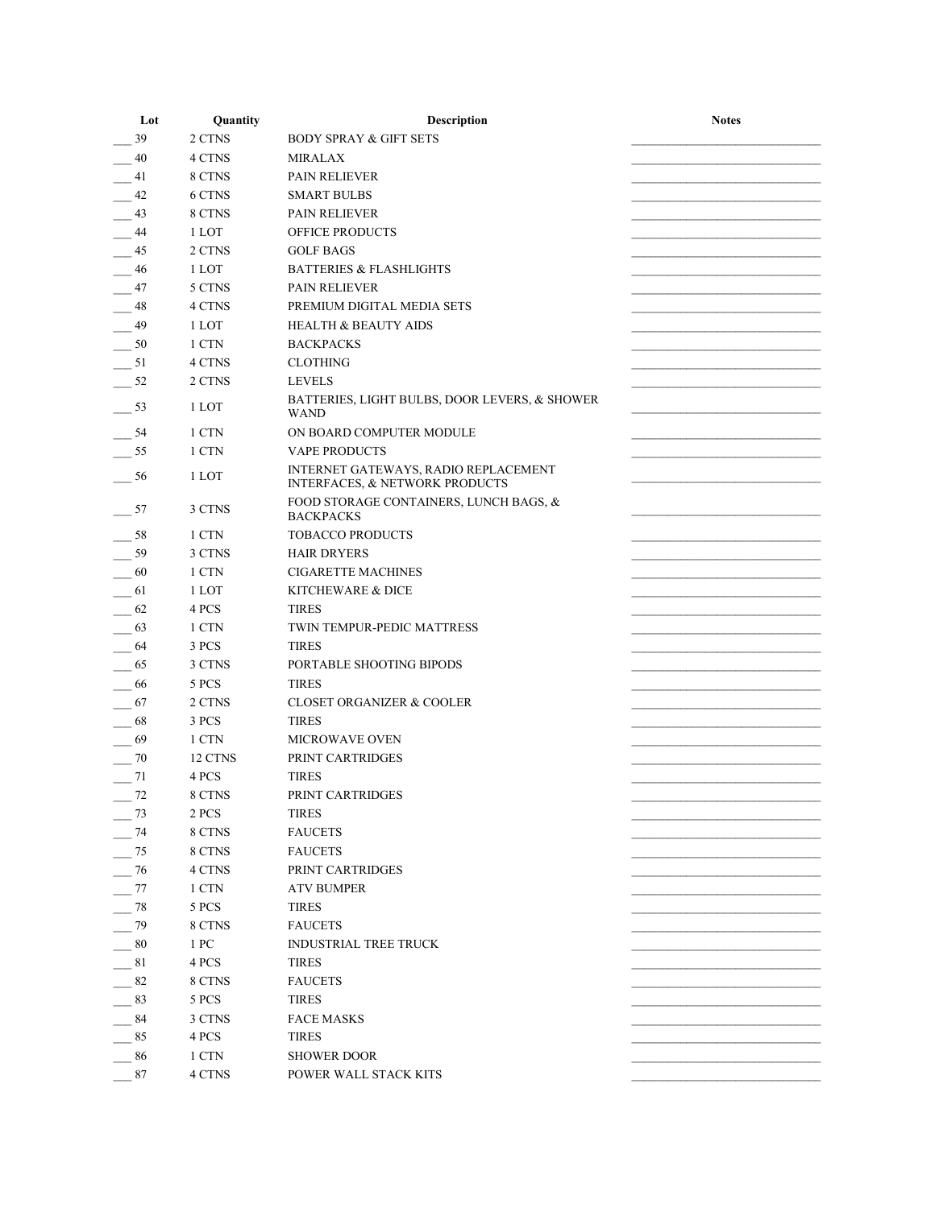| Lot   | Quantity | <b>Description</b>                                                                | <b>Notes</b> |
|-------|----------|-----------------------------------------------------------------------------------|--------------|
| 39    | 2 CTNS   | <b>BODY SPRAY &amp; GIFT SETS</b>                                                 |              |
| 40    | 4 CTNS   | <b>MIRALAX</b>                                                                    |              |
| 41    | 8 CTNS   | <b>PAIN RELIEVER</b>                                                              |              |
| -42   | 6 CTNS   | <b>SMART BULBS</b>                                                                |              |
| 43    | 8 CTNS   | <b>PAIN RELIEVER</b>                                                              |              |
| -44   | 1 LOT    | OFFICE PRODUCTS                                                                   |              |
| - 45  | 2 CTNS   | <b>GOLF BAGS</b>                                                                  |              |
| - 46  | 1 LOT    | <b>BATTERIES &amp; FLASHLIGHTS</b>                                                |              |
| 47    | 5 CTNS   | <b>PAIN RELIEVER</b>                                                              |              |
| 48    | 4 CTNS   | PREMIUM DIGITAL MEDIA SETS                                                        |              |
| 49    | 1 LOT    | <b>HEALTH &amp; BEAUTY AIDS</b>                                                   |              |
| 50    | 1 CTN    | <b>BACKPACKS</b>                                                                  |              |
| $-51$ | 4 CTNS   | <b>CLOTHING</b>                                                                   |              |
| $-52$ | 2 CTNS   | <b>LEVELS</b>                                                                     |              |
| $-53$ | 1 LOT    | BATTERIES, LIGHT BULBS, DOOR LEVERS, & SHOWER<br><b>WAND</b>                      |              |
| -54   | 1 CTN    | ON BOARD COMPUTER MODULE                                                          |              |
| 55    | 1 CTN    | <b>VAPE PRODUCTS</b>                                                              |              |
| 56    | 1 LOT    | INTERNET GATEWAYS, RADIO REPLACEMENT<br><b>INTERFACES, &amp; NETWORK PRODUCTS</b> |              |
| 57    | 3 CTNS   | FOOD STORAGE CONTAINERS, LUNCH BAGS, &<br><b>BACKPACKS</b>                        |              |
| -58   | 1 CTN    | <b>TOBACCO PRODUCTS</b>                                                           |              |
| 59    | 3 CTNS   | <b>HAIR DRYERS</b>                                                                |              |
| 60    | 1 CTN    | <b>CIGARETTE MACHINES</b>                                                         |              |
| 61    | 1 LOT    | KITCHEWARE & DICE                                                                 |              |
| 62    | 4 PCS    | <b>TIRES</b>                                                                      |              |
| 63    | 1 CTN    | TWIN TEMPUR-PEDIC MATTRESS                                                        |              |
| 64    | 3 PCS    | <b>TIRES</b>                                                                      |              |
| 65    | 3 CTNS   | PORTABLE SHOOTING BIPODS                                                          |              |
| 66    | 5 PCS    | <b>TIRES</b>                                                                      |              |
| 67    | 2 CTNS   | <b>CLOSET ORGANIZER &amp; COOLER</b>                                              |              |
| 68    | 3 PCS    | <b>TIRES</b>                                                                      |              |
| 69    | 1 CTN    | <b>MICROWAVE OVEN</b>                                                             |              |
| 70    | 12 CTNS  | PRINT CARTRIDGES                                                                  |              |
| $-71$ | 4 PCS    | <b>TIRES</b>                                                                      |              |
| 72    | 8 CTNS   | PRINT CARTRIDGES                                                                  |              |
| 73    | 2 PCS    | <b>TIRES</b>                                                                      |              |
| 74    | 8 CTNS   | <b>FAUCETS</b>                                                                    |              |
| 75    | 8 CTNS   | <b>FAUCETS</b>                                                                    |              |
| 76    | 4 CTNS   | PRINT CARTRIDGES                                                                  |              |
| 77    | 1 CTN    | <b>ATV BUMPER</b>                                                                 |              |
| 78    | 5 PCS    | <b>TIRES</b>                                                                      |              |
| 79    | 8 CTNS   | <b>FAUCETS</b>                                                                    |              |
| 80    | 1 PC     | <b>INDUSTRIAL TREE TRUCK</b>                                                      |              |
| 81    | 4 PCS    | <b>TIRES</b>                                                                      |              |
| 82    | 8 CTNS   | <b>FAUCETS</b>                                                                    |              |
| 83    | 5 PCS    | <b>TIRES</b>                                                                      |              |
| 84    | 3 CTNS   | <b>FACE MASKS</b>                                                                 |              |
| 85    | 4 PCS    | <b>TIRES</b>                                                                      |              |
| 86    | 1 CTN    | <b>SHOWER DOOR</b>                                                                |              |
| 87    | 4 CTNS   | POWER WALL STACK KITS                                                             |              |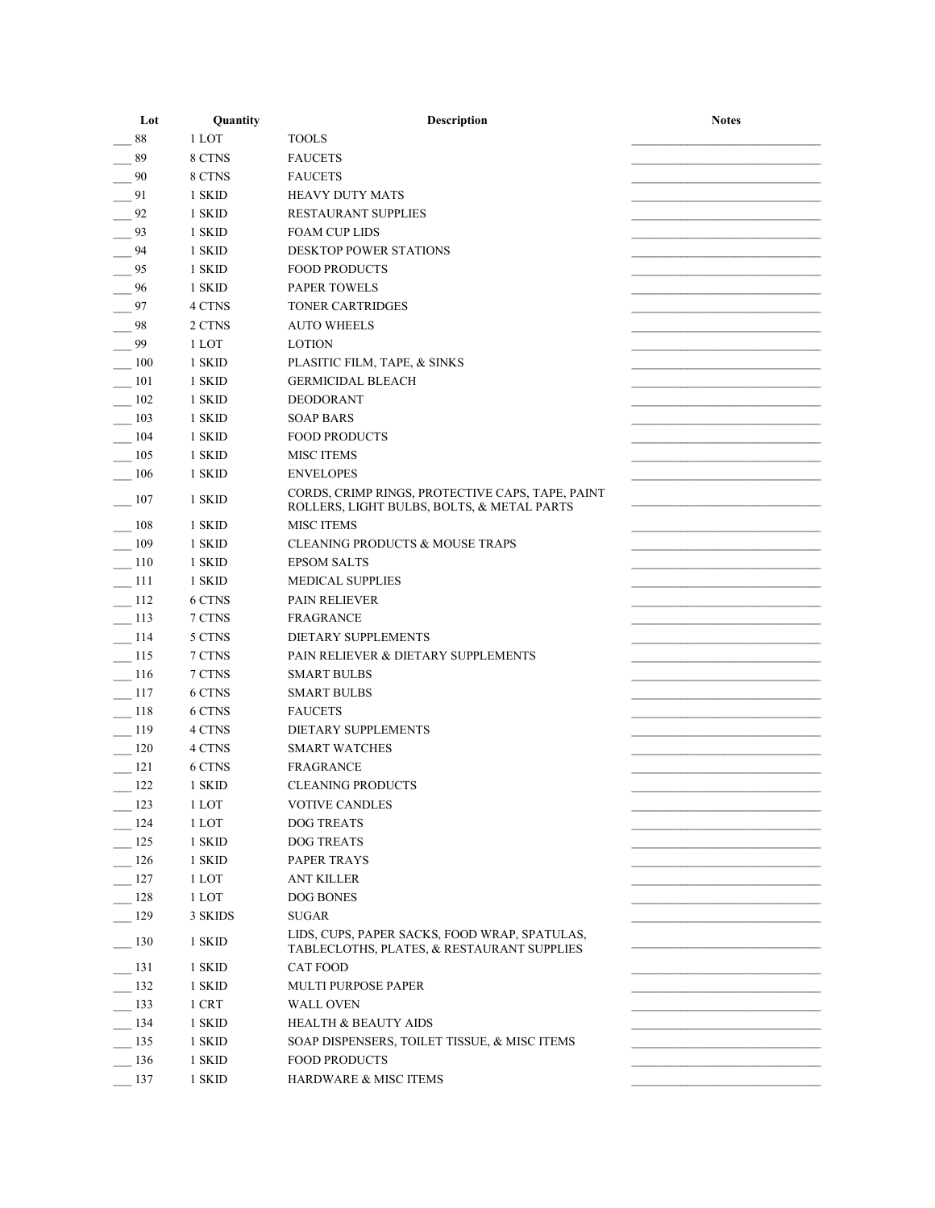| Lot   | Quantity | Description                                                                                    | <b>Notes</b> |
|-------|----------|------------------------------------------------------------------------------------------------|--------------|
| 88    | 1 LOT    | <b>TOOLS</b>                                                                                   |              |
| 89    | 8 CTNS   | <b>FAUCETS</b>                                                                                 |              |
| 90    | 8 CTNS   | <b>FAUCETS</b>                                                                                 |              |
| 91    | 1 SKID   | <b>HEAVY DUTY MATS</b>                                                                         |              |
| 92    | 1 SKID   | RESTAURANT SUPPLIES                                                                            |              |
| 93    | 1 SKID   | <b>FOAM CUP LIDS</b>                                                                           |              |
| 94    | 1 SKID   | <b>DESKTOP POWER STATIONS</b>                                                                  |              |
| 95    | 1 SKID   | <b>FOOD PRODUCTS</b>                                                                           |              |
| 96    | 1 SKID   | <b>PAPER TOWELS</b>                                                                            |              |
| 97    | 4 CTNS   | <b>TONER CARTRIDGES</b>                                                                        |              |
| 98    | 2 CTNS   | <b>AUTO WHEELS</b>                                                                             |              |
| 99    | 1 LOT    | <b>LOTION</b>                                                                                  |              |
| 100   | 1 SKID   | PLASITIC FILM, TAPE, & SINKS                                                                   |              |
| 101   | 1 SKID   | <b>GERMICIDAL BLEACH</b>                                                                       |              |
| 102   | 1 SKID   | <b>DEODORANT</b>                                                                               |              |
| 103   | 1 SKID   | <b>SOAP BARS</b>                                                                               |              |
| 104   | 1 SKID   | <b>FOOD PRODUCTS</b>                                                                           |              |
| 105   | 1 SKID   | <b>MISC ITEMS</b>                                                                              |              |
| 106   | 1 SKID   | <b>ENVELOPES</b>                                                                               |              |
| - 107 | 1 SKID   | CORDS, CRIMP RINGS, PROTECTIVE CAPS, TAPE, PAINT<br>ROLLERS, LIGHT BULBS, BOLTS, & METAL PARTS |              |
| 108   | 1 SKID   | <b>MISC ITEMS</b>                                                                              |              |
| 109   | 1 SKID   | <b>CLEANING PRODUCTS &amp; MOUSE TRAPS</b>                                                     |              |
| 110   | 1 SKID   | <b>EPSOM SALTS</b>                                                                             |              |
| 111   | 1 SKID   | <b>MEDICAL SUPPLIES</b>                                                                        |              |
| 112   | 6 CTNS   | <b>PAIN RELIEVER</b>                                                                           |              |
| 113   | 7 CTNS   | <b>FRAGRANCE</b>                                                                               |              |
| 114   | 5 CTNS   | <b>DIETARY SUPPLEMENTS</b>                                                                     |              |
| 115   | 7 CTNS   | PAIN RELIEVER & DIETARY SUPPLEMENTS                                                            |              |
| 116   | 7 CTNS   | <b>SMART BULBS</b>                                                                             |              |
| 117   | 6 CTNS   | <b>SMART BULBS</b>                                                                             |              |
| 118   | 6 CTNS   | <b>FAUCETS</b>                                                                                 |              |
| 119   | 4 CTNS   | DIETARY SUPPLEMENTS                                                                            |              |
| 120   | 4 CTNS   | <b>SMART WATCHES</b>                                                                           |              |
| 121   | 6 CTNS   | <b>FRAGRANCE</b>                                                                               |              |
| 122   | 1 SKID   | <b>CLEANING PRODUCTS</b>                                                                       |              |
| 123   | 1 LOT    | <b>VOTIVE CANDLES</b>                                                                          |              |
| 124   | 1 LOT    | <b>DOG TREATS</b>                                                                              |              |
| 125   | 1 SKID   | <b>DOG TREATS</b>                                                                              |              |
| 126   | 1 SKID   | PAPER TRAYS                                                                                    |              |
| 127   | 1 LOT    | <b>ANT KILLER</b>                                                                              |              |
| 128   | 1 LOT    | <b>DOG BONES</b>                                                                               |              |
| 129   | 3 SKIDS  | <b>SUGAR</b>                                                                                   |              |
| 130   | 1 SKID   | LIDS, CUPS, PAPER SACKS, FOOD WRAP, SPATULAS,<br>TABLECLOTHS, PLATES, & RESTAURANT SUPPLIES    |              |
| 131   | 1 SKID   | <b>CAT FOOD</b>                                                                                |              |
| 132   | 1 SKID   | <b>MULTI PURPOSE PAPER</b>                                                                     |              |
| 133   | 1 CRT    | <b>WALL OVEN</b>                                                                               |              |
| 134   | 1 SKID   | <b>HEALTH &amp; BEAUTY AIDS</b>                                                                |              |
| 135   | 1 SKID   | SOAP DISPENSERS, TOILET TISSUE, & MISC ITEMS                                                   |              |
| 136   | 1 SKID   | <b>FOOD PRODUCTS</b>                                                                           |              |
| 137   | 1 SKID   | HARDWARE & MISC ITEMS                                                                          |              |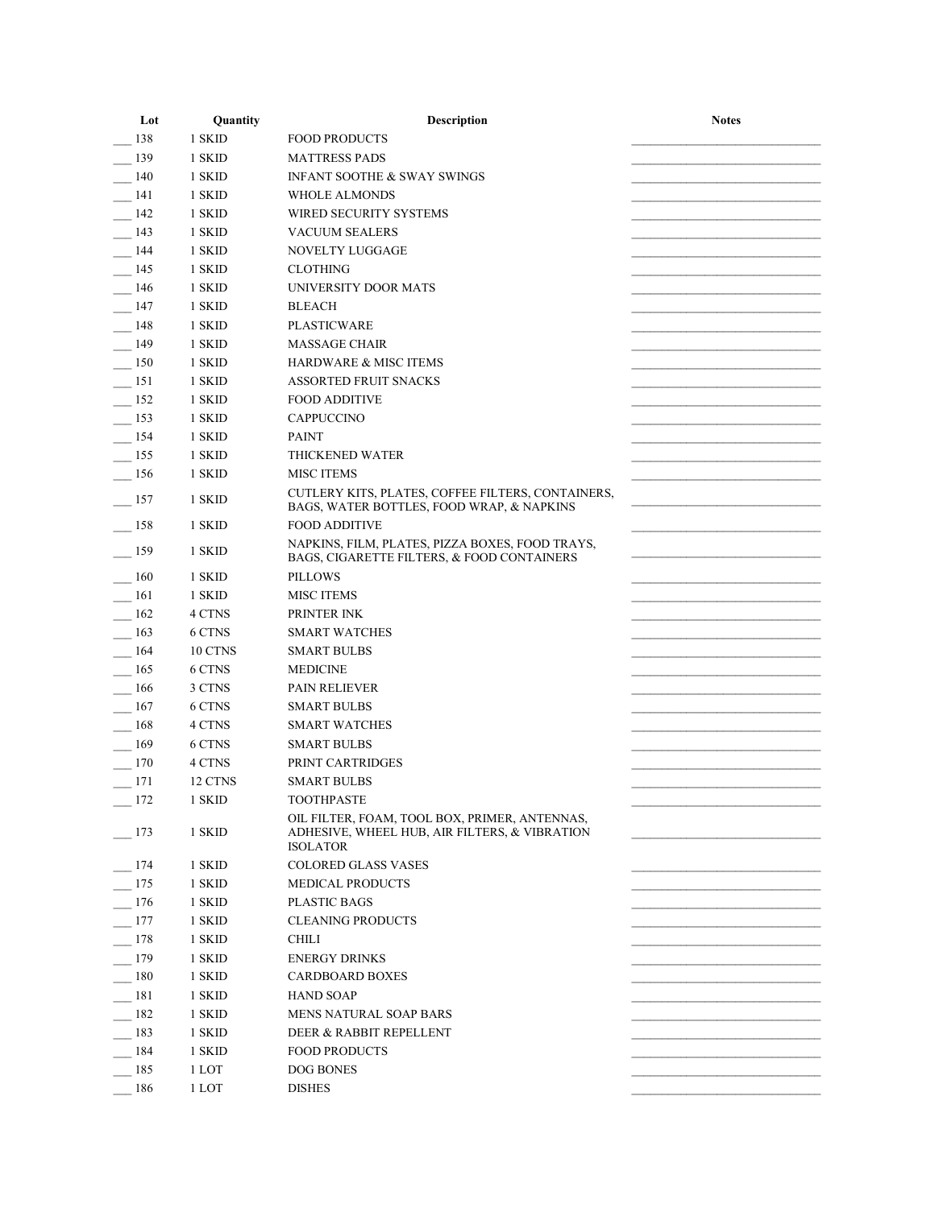| Lot    | Quantity | Description                                                                                                       | <b>Notes</b> |
|--------|----------|-------------------------------------------------------------------------------------------------------------------|--------------|
| 138    | 1 SKID   | <b>FOOD PRODUCTS</b>                                                                                              |              |
| 139    | 1 SKID   | <b>MATTRESS PADS</b>                                                                                              |              |
| 140    | 1 SKID   | <b>INFANT SOOTHE &amp; SWAY SWINGS</b>                                                                            |              |
| 141    | 1 SKID   | <b>WHOLE ALMONDS</b>                                                                                              |              |
| 142    | 1 SKID   | WIRED SECURITY SYSTEMS                                                                                            |              |
| 143    | 1 SKID   | <b>VACUUM SEALERS</b>                                                                                             |              |
| 144    | 1 SKID   | <b>NOVELTY LUGGAGE</b>                                                                                            |              |
| 145    | 1 SKID   | <b>CLOTHING</b>                                                                                                   |              |
| 146    | 1 SKID   | UNIVERSITY DOOR MATS                                                                                              |              |
| 147    | 1 SKID   | <b>BLEACH</b>                                                                                                     |              |
| 148    | 1 SKID   | <b>PLASTICWARE</b>                                                                                                |              |
| 149    | 1 SKID   | <b>MASSAGE CHAIR</b>                                                                                              |              |
| 150    | 1 SKID   | <b>HARDWARE &amp; MISC ITEMS</b>                                                                                  |              |
| 151    | 1 SKID   | <b>ASSORTED FRUIT SNACKS</b>                                                                                      |              |
| 152    | 1 SKID   | <b>FOOD ADDITIVE</b>                                                                                              |              |
| 153    | 1 SKID   | <b>CAPPUCCINO</b>                                                                                                 |              |
| 154    | 1 SKID   | <b>PAINT</b>                                                                                                      |              |
| 155    | 1 SKID   | <b>THICKENED WATER</b>                                                                                            |              |
| 156    | 1 SKID   | <b>MISC ITEMS</b>                                                                                                 |              |
| 157    | 1 SKID   | CUTLERY KITS, PLATES, COFFEE FILTERS, CONTAINERS,<br>BAGS, WATER BOTTLES, FOOD WRAP, & NAPKINS                    |              |
| 158    | 1 SKID   | <b>FOOD ADDITIVE</b>                                                                                              |              |
| 159    | 1 SKID   | NAPKINS, FILM, PLATES, PIZZA BOXES, FOOD TRAYS,<br>BAGS, CIGARETTE FILTERS, & FOOD CONTAINERS                     |              |
| 160    | 1 SKID   | <b>PILLOWS</b>                                                                                                    |              |
| 161    | 1 SKID   | <b>MISC ITEMS</b>                                                                                                 |              |
| 162    | 4 CTNS   | PRINTER INK                                                                                                       |              |
| 163    | 6 CTNS   | <b>SMART WATCHES</b>                                                                                              |              |
| 164    | 10 CTNS  | <b>SMART BULBS</b>                                                                                                |              |
| 165    | 6 CTNS   | <b>MEDICINE</b>                                                                                                   |              |
| 166    | 3 CTNS   | <b>PAIN RELIEVER</b>                                                                                              |              |
| 167    | 6 CTNS   | <b>SMART BULBS</b>                                                                                                |              |
| 168    | 4 CTNS   | <b>SMART WATCHES</b>                                                                                              |              |
| 169    | 6 CTNS   | <b>SMART BULBS</b>                                                                                                |              |
| 170    | 4 CTNS   | PRINT CARTRIDGES                                                                                                  |              |
| 171    | 12 CTNS  | <b>SMART BULBS</b>                                                                                                |              |
| $-172$ | 1 SKID   | <b>TOOTHPASTE</b>                                                                                                 |              |
| 173    | 1 SKID   | OIL FILTER, FOAM, TOOL BOX, PRIMER, ANTENNAS,<br>ADHESIVE, WHEEL HUB, AIR FILTERS, & VIBRATION<br><b>ISOLATOR</b> |              |
| 174    | 1 SKID   | <b>COLORED GLASS VASES</b>                                                                                        |              |
| 175    | 1 SKID   | <b>MEDICAL PRODUCTS</b>                                                                                           |              |
| 176    | 1 SKID   | <b>PLASTIC BAGS</b>                                                                                               |              |
| 177    | 1 SKID   | <b>CLEANING PRODUCTS</b>                                                                                          |              |
| 178    | 1 SKID   | <b>CHILI</b>                                                                                                      |              |
| 179    | 1 SKID   | <b>ENERGY DRINKS</b>                                                                                              |              |
| 180    | 1 SKID   | <b>CARDBOARD BOXES</b>                                                                                            |              |
| 181    | 1 SKID   | <b>HAND SOAP</b>                                                                                                  |              |
| 182    | 1 SKID   | <b>MENS NATURAL SOAP BARS</b>                                                                                     |              |
| 183    | 1 SKID   | DEER & RABBIT REPELLENT                                                                                           |              |
| - 184  | 1 SKID   | <b>FOOD PRODUCTS</b>                                                                                              |              |
| 185    | 1 LOT    | <b>DOG BONES</b>                                                                                                  |              |
| 186    | 1 LOT    | <b>DISHES</b>                                                                                                     |              |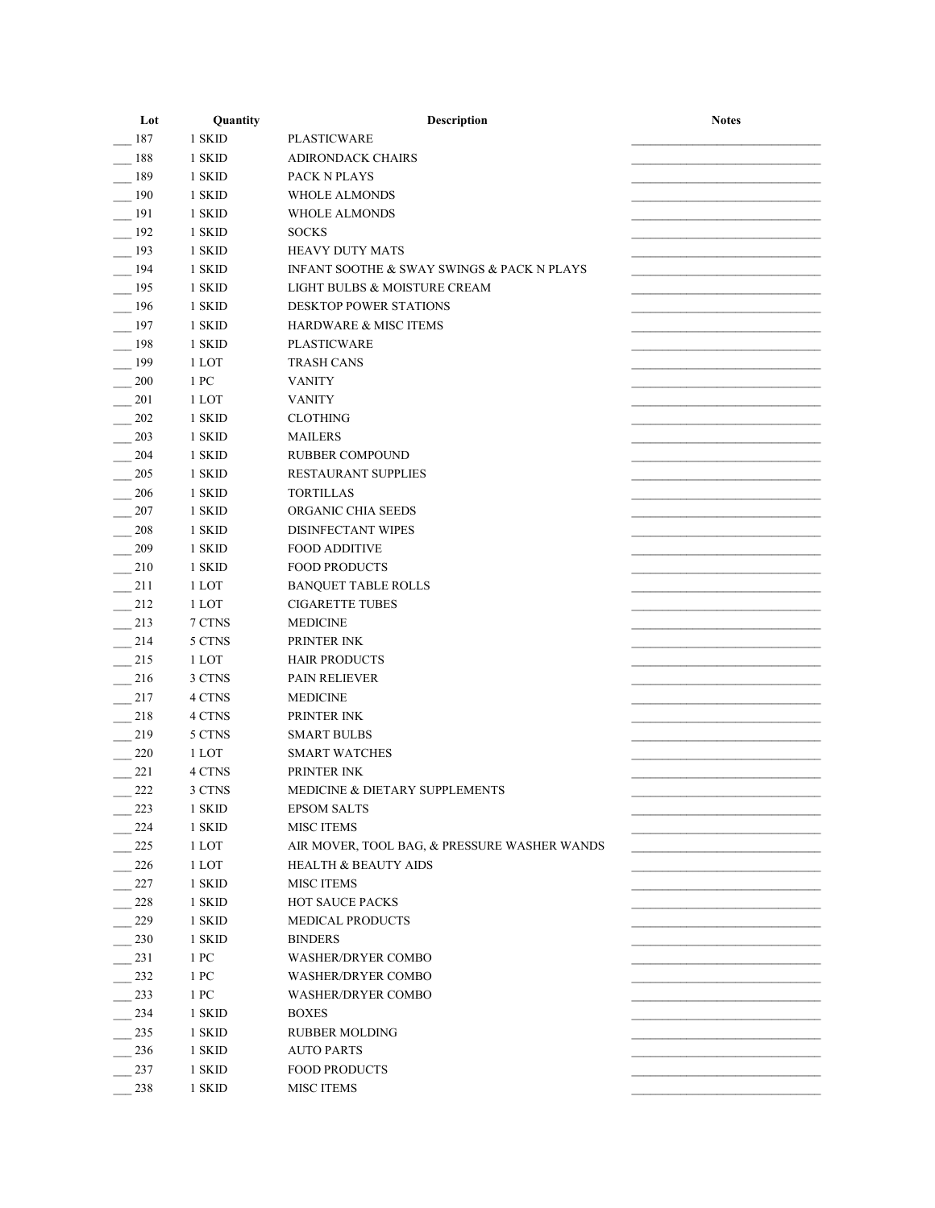| Lot | Quantity | Description                                  | <b>Notes</b> |
|-----|----------|----------------------------------------------|--------------|
| 187 | 1 SKID   | <b>PLASTICWARE</b>                           |              |
| 188 | 1 SKID   | <b>ADIRONDACK CHAIRS</b>                     |              |
| 189 | 1 SKID   | PACK N PLAYS                                 |              |
| 190 | 1 SKID   | <b>WHOLE ALMONDS</b>                         |              |
| 191 | 1 SKID   | <b>WHOLE ALMONDS</b>                         |              |
| 192 | 1 SKID   | <b>SOCKS</b>                                 |              |
| 193 | 1 SKID   | <b>HEAVY DUTY MATS</b>                       |              |
| 194 | 1 SKID   | INFANT SOOTHE & SWAY SWINGS & PACK N PLAYS   |              |
| 195 | 1 SKID   | LIGHT BULBS & MOISTURE CREAM                 |              |
| 196 | 1 SKID   | DESKTOP POWER STATIONS                       |              |
| 197 | 1 SKID   | <b>HARDWARE &amp; MISC ITEMS</b>             |              |
| 198 | 1 SKID   | <b>PLASTICWARE</b>                           |              |
| 199 | 1 LOT    | <b>TRASH CANS</b>                            |              |
| 200 | 1 PC     | <b>VANITY</b>                                |              |
| 201 | 1 LOT    | <b>VANITY</b>                                |              |
| 202 | 1 SKID   | <b>CLOTHING</b>                              |              |
| 203 | 1 SKID   | <b>MAILERS</b>                               |              |
| 204 | 1 SKID   | <b>RUBBER COMPOUND</b>                       |              |
| 205 | 1 SKID   | <b>RESTAURANT SUPPLIES</b>                   |              |
| 206 | 1 SKID   | <b>TORTILLAS</b>                             |              |
| 207 | 1 SKID   | ORGANIC CHIA SEEDS                           |              |
| 208 | 1 SKID   | DISINFECTANT WIPES                           |              |
| 209 | 1 SKID   | <b>FOOD ADDITIVE</b>                         |              |
| 210 | 1 SKID   | <b>FOOD PRODUCTS</b>                         |              |
| 211 | 1 LOT    | <b>BANQUET TABLE ROLLS</b>                   |              |
| 212 | 1 LOT    | <b>CIGARETTE TUBES</b>                       |              |
| 213 | 7 CTNS   | <b>MEDICINE</b>                              |              |
| 214 | 5 CTNS   | PRINTER INK                                  |              |
| 215 | 1 LOT    | <b>HAIR PRODUCTS</b>                         |              |
| 216 | 3 CTNS   | <b>PAIN RELIEVER</b>                         |              |
| 217 | 4 CTNS   | <b>MEDICINE</b>                              |              |
| 218 | 4 CTNS   | PRINTER INK                                  |              |
| 219 | 5 CTNS   | <b>SMART BULBS</b>                           |              |
| 220 | 1 LOT    | <b>SMART WATCHES</b>                         |              |
| 221 | 4 CTNS   | PRINTER INK                                  |              |
| 222 | 3 CTNS   | <b>MEDICINE &amp; DIETARY SUPPLEMENTS</b>    |              |
| 223 | 1 SKID   | <b>EPSOM SALTS</b>                           |              |
| 224 | 1 SKID   | <b>MISC ITEMS</b>                            |              |
|     |          |                                              |              |
| 225 | 1 LOT    | AIR MOVER, TOOL BAG, & PRESSURE WASHER WANDS |              |
| 226 | 1 LOT    | <b>HEALTH &amp; BEAUTY AIDS</b>              |              |
| 227 | 1 SKID   | <b>MISC ITEMS</b>                            |              |
| 228 | 1 SKID   | <b>HOT SAUCE PACKS</b>                       |              |
| 229 | 1 SKID   | <b>MEDICAL PRODUCTS</b>                      |              |
| 230 | 1 SKID   | <b>BINDERS</b>                               |              |
| 231 | 1 PC     | <b>WASHER/DRYER COMBO</b>                    |              |
| 232 | 1 PC     | <b>WASHER/DRYER COMBO</b>                    |              |
| 233 | 1 PC     | <b>WASHER/DRYER COMBO</b>                    |              |
| 234 | 1 SKID   | <b>BOXES</b>                                 |              |
| 235 | 1 SKID   | <b>RUBBER MOLDING</b>                        |              |
| 236 | 1 SKID   | <b>AUTO PARTS</b>                            |              |
| 237 | 1 SKID   | <b>FOOD PRODUCTS</b>                         |              |
| 238 | 1 SKID   | <b>MISC ITEMS</b>                            |              |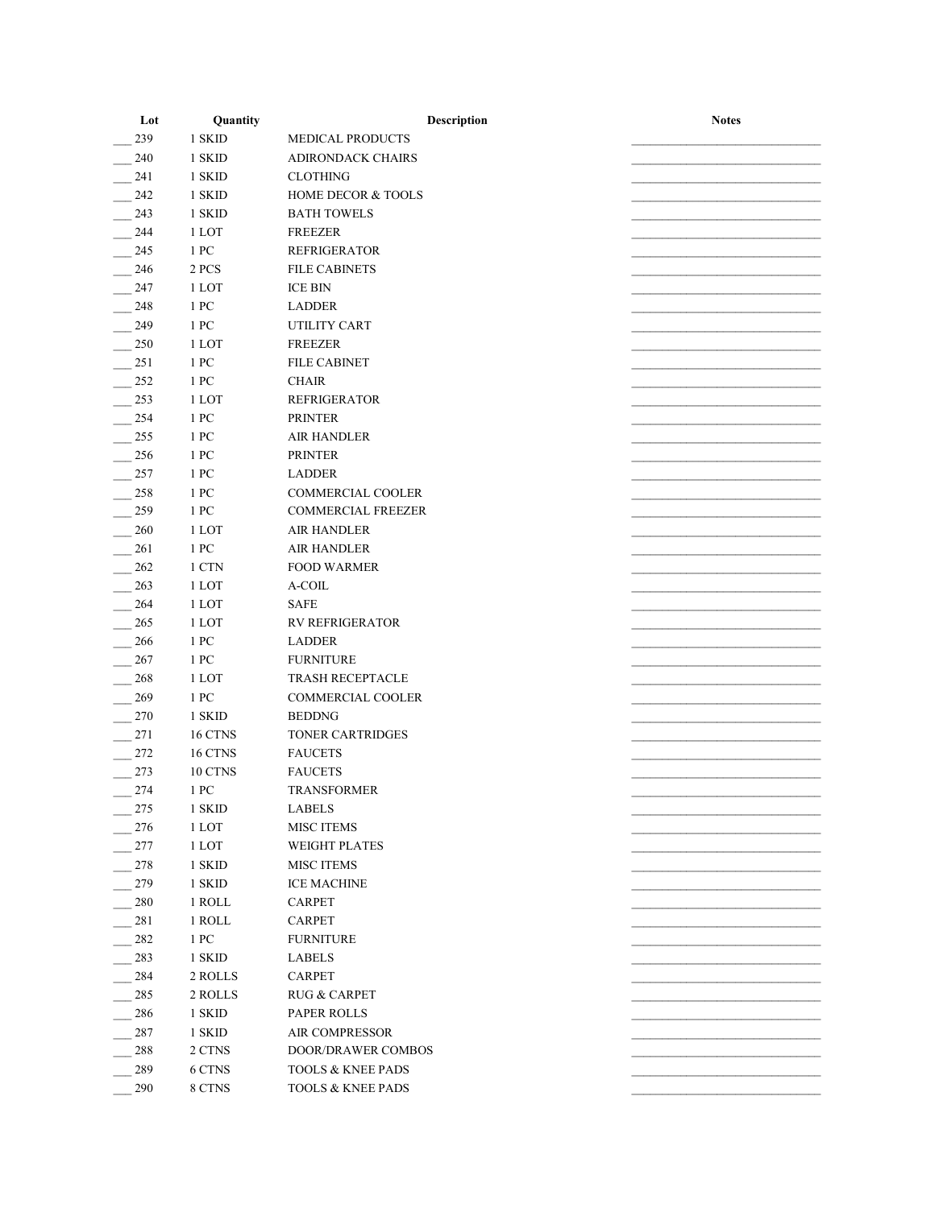| Lot | Quantity | Description                   | <b>Notes</b> |
|-----|----------|-------------------------------|--------------|
| 239 | 1 SKID   | <b>MEDICAL PRODUCTS</b>       |              |
| 240 | 1 SKID   | <b>ADIRONDACK CHAIRS</b>      |              |
| 241 | 1 SKID   | <b>CLOTHING</b>               |              |
| 242 | 1 SKID   | <b>HOME DECOR &amp; TOOLS</b> |              |
| 243 | 1 SKID   | <b>BATH TOWELS</b>            |              |
| 244 | 1 LOT    | <b>FREEZER</b>                |              |
| 245 | 1 PC     | <b>REFRIGERATOR</b>           |              |
| 246 | 2 PCS    | <b>FILE CABINETS</b>          |              |
| 247 | 1 LOT    | <b>ICE BIN</b>                |              |
| 248 | 1 PC     | <b>LADDER</b>                 |              |
| 249 | 1 PC     | UTILITY CART                  |              |
| 250 | 1 LOT    | <b>FREEZER</b>                |              |
| 251 | 1 PC     | <b>FILE CABINET</b>           |              |
| 252 | 1 PC     | <b>CHAIR</b>                  |              |
| 253 | 1 LOT    | <b>REFRIGERATOR</b>           |              |
| 254 | 1 PC     | <b>PRINTER</b>                |              |
| 255 | 1 PC     | <b>AIR HANDLER</b>            |              |
| 256 | 1 PC     | <b>PRINTER</b>                |              |
| 257 | 1 PC     | <b>LADDER</b>                 |              |
| 258 | 1 PC     | <b>COMMERCIAL COOLER</b>      |              |
| 259 | 1 PC     | <b>COMMERCIAL FREEZER</b>     |              |
| 260 | 1 LOT    | <b>AIR HANDLER</b>            |              |
| 261 | 1 PC     | <b>AIR HANDLER</b>            |              |
| 262 | 1 CTN    | <b>FOOD WARMER</b>            |              |
| 263 | 1 LOT    | A-COIL                        |              |
| 264 | 1 LOT    | <b>SAFE</b>                   |              |
| 265 | 1 LOT    | <b>RV REFRIGERATOR</b>        |              |
| 266 | 1 PC     | <b>LADDER</b>                 |              |
| 267 | 1 PC     | <b>FURNITURE</b>              |              |
| 268 | 1 LOT    | <b>TRASH RECEPTACLE</b>       |              |
| 269 | 1 PC     | <b>COMMERCIAL COOLER</b>      |              |
| 270 | 1 SKID   | <b>BEDDNG</b>                 |              |
| 271 | 16 CTNS  | <b>TONER CARTRIDGES</b>       |              |
| 272 | 16 CTNS  | <b>FAUCETS</b>                |              |
| 273 | 10 CTNS  | <b>FAUCETS</b>                |              |
| 274 | 1 PC     | <b>TRANSFORMER</b>            |              |
| 275 | 1 SKID   | <b>LABELS</b>                 |              |
| 276 | 1 LOT    | <b>MISC ITEMS</b>             |              |
| 277 | 1 LOT    | <b>WEIGHT PLATES</b>          |              |
| 278 | 1 SKID   | <b>MISC ITEMS</b>             |              |
| 279 | 1 SKID   | <b>ICE MACHINE</b>            |              |
| 280 | 1 ROLL   | CARPET                        |              |
| 281 | 1 ROLL   | CARPET                        |              |
| 282 | 1 PC     | <b>FURNITURE</b>              |              |
| 283 | 1 SKID   | <b>LABELS</b>                 |              |
| 284 | 2 ROLLS  | <b>CARPET</b>                 |              |
| 285 | 2 ROLLS  | <b>RUG &amp; CARPET</b>       |              |
| 286 | 1 SKID   | <b>PAPER ROLLS</b>            |              |
| 287 | 1 SKID   | AIR COMPRESSOR                |              |
| 288 | 2 CTNS   | DOOR/DRAWER COMBOS            |              |
| 289 | 6 CTNS   | <b>TOOLS &amp; KNEE PADS</b>  |              |
| 290 | 8 CTNS   | TOOLS & KNEE PADS             |              |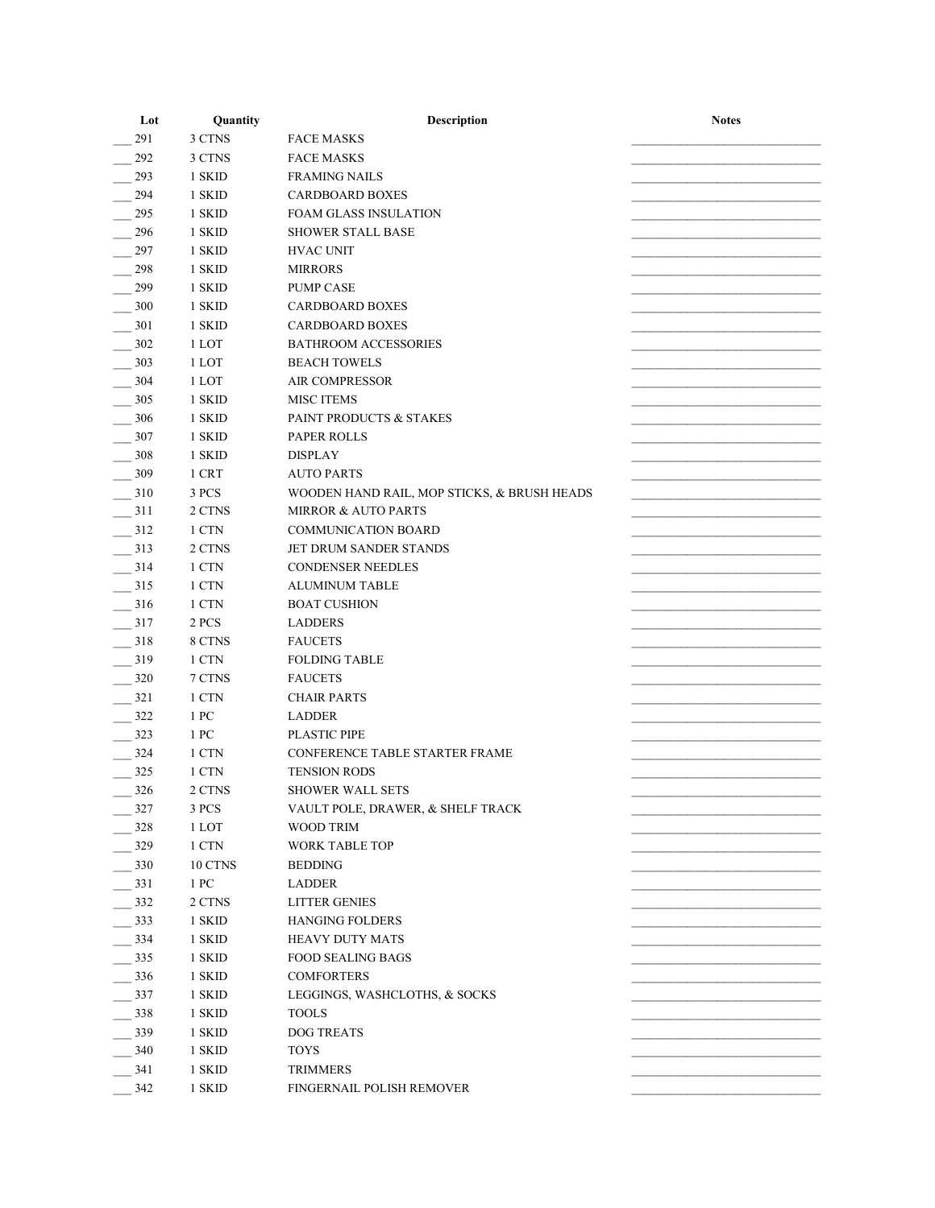| Lot | Quantity         | Description                                 | <b>Notes</b> |
|-----|------------------|---------------------------------------------|--------------|
| 291 | 3 CTNS           | <b>FACE MASKS</b>                           |              |
| 292 | 3 CTNS           | <b>FACE MASKS</b>                           |              |
| 293 | 1 SKID           | <b>FRAMING NAILS</b>                        |              |
| 294 | 1 SKID           | <b>CARDBOARD BOXES</b>                      |              |
| 295 | 1 SKID           | <b>FOAM GLASS INSULATION</b>                |              |
| 296 | 1 SKID           | <b>SHOWER STALL BASE</b>                    |              |
| 297 | 1 SKID           | <b>HVAC UNIT</b>                            |              |
| 298 | 1 SKID           | <b>MIRRORS</b>                              |              |
| 299 | 1 SKID           | <b>PUMP CASE</b>                            |              |
| 300 | 1 SKID           | <b>CARDBOARD BOXES</b>                      |              |
| 301 | 1 SKID           | <b>CARDBOARD BOXES</b>                      |              |
| 302 | 1 LOT            | <b>BATHROOM ACCESSORIES</b>                 |              |
| 303 | 1 LOT            | <b>BEACH TOWELS</b>                         |              |
| 304 | 1 LOT            | <b>AIR COMPRESSOR</b>                       |              |
| 305 | 1 SKID           | <b>MISC ITEMS</b>                           |              |
| 306 | 1 SKID           | PAINT PRODUCTS & STAKES                     |              |
| 307 | 1 SKID           | <b>PAPER ROLLS</b>                          |              |
| 308 | 1 SKID           | <b>DISPLAY</b>                              |              |
| 309 | 1 CRT            | <b>AUTO PARTS</b>                           |              |
| 310 | 3 PCS            | WOODEN HAND RAIL, MOP STICKS, & BRUSH HEADS |              |
| 311 | 2 CTNS           | <b>MIRROR &amp; AUTO PARTS</b>              |              |
| 312 | 1 CTN            | <b>COMMUNICATION BOARD</b>                  |              |
| 313 | 2 CTNS           | JET DRUM SANDER STANDS                      |              |
| 314 | 1 CTN            | <b>CONDENSER NEEDLES</b>                    |              |
| 315 | 1 CTN            | <b>ALUMINUM TABLE</b>                       |              |
| 316 | 1 CTN            | <b>BOAT CUSHION</b>                         |              |
| 317 | 2 PCS            | <b>LADDERS</b>                              |              |
| 318 | 8 CTNS           | <b>FAUCETS</b>                              |              |
| 319 | 1 CTN            | <b>FOLDING TABLE</b>                        |              |
| 320 | 7 CTNS           | <b>FAUCETS</b>                              |              |
| 321 | 1 CTN            | <b>CHAIR PARTS</b>                          |              |
| 322 | 1 PC             | <b>LADDER</b>                               |              |
| 323 | 1 PC             | <b>PLASTIC PIPE</b>                         |              |
| 324 | 1 CTN            | CONFERENCE TABLE STARTER FRAME              |              |
|     |                  |                                             |              |
| 325 | 1 CTN            | <b>TENSION RODS</b>                         |              |
| 326 | 2 CTNS           | <b>SHOWER WALL SETS</b>                     |              |
| 327 | 3 PCS            | VAULT POLE, DRAWER, & SHELF TRACK           |              |
| 328 | 1 LOT            | WOOD TRIM                                   |              |
| 329 | 1 CTN            | <b>WORK TABLE TOP</b>                       |              |
| 330 | 10 CTNS          | <b>BEDDING</b>                              |              |
| 331 | $1\ \mathrm{PC}$ | <b>LADDER</b>                               |              |
| 332 | 2 CTNS           | <b>LITTER GENIES</b>                        |              |
| 333 | 1 SKID           | <b>HANGING FOLDERS</b>                      |              |
| 334 | 1 SKID           | <b>HEAVY DUTY MATS</b>                      |              |
| 335 | 1 SKID           | <b>FOOD SEALING BAGS</b>                    |              |
| 336 | 1 SKID           | <b>COMFORTERS</b>                           |              |
| 337 | 1 SKID           | LEGGINGS, WASHCLOTHS, & SOCKS               |              |
| 338 | 1 SKID           | <b>TOOLS</b>                                |              |
| 339 | 1 SKID           | <b>DOG TREATS</b>                           |              |
| 340 | 1 SKID           | <b>TOYS</b>                                 |              |
| 341 | 1 SKID           | <b>TRIMMERS</b>                             |              |
| 342 | 1 SKID           | FINGERNAIL POLISH REMOVER                   |              |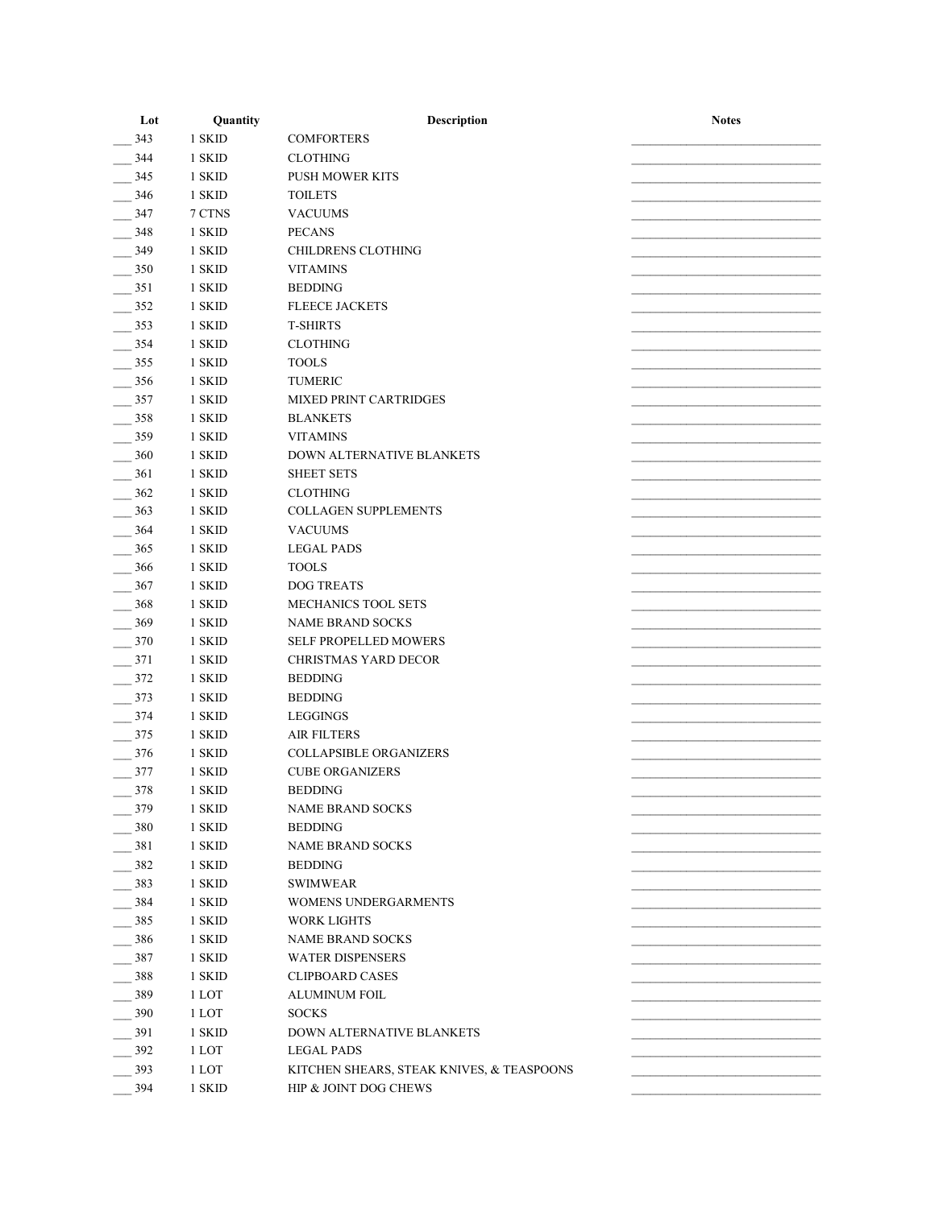| Lot | Quantity | Description                               | <b>Notes</b> |
|-----|----------|-------------------------------------------|--------------|
| 343 | 1 SKID   | <b>COMFORTERS</b>                         |              |
| 344 | 1 SKID   | <b>CLOTHING</b>                           |              |
| 345 | 1 SKID   | <b>PUSH MOWER KITS</b>                    |              |
| 346 | 1 SKID   | <b>TOILETS</b>                            |              |
| 347 | 7 CTNS   | <b>VACUUMS</b>                            |              |
| 348 | 1 SKID   | <b>PECANS</b>                             |              |
| 349 | 1 SKID   | <b>CHILDRENS CLOTHING</b>                 |              |
| 350 | 1 SKID   | <b>VITAMINS</b>                           |              |
| 351 | 1 SKID   | <b>BEDDING</b>                            |              |
| 352 | 1 SKID   | <b>FLEECE JACKETS</b>                     |              |
| 353 | 1 SKID   | <b>T-SHIRTS</b>                           |              |
| 354 | 1 SKID   | <b>CLOTHING</b>                           |              |
| 355 | 1 SKID   | <b>TOOLS</b>                              |              |
| 356 | 1 SKID   | <b>TUMERIC</b>                            |              |
| 357 | 1 SKID   | <b>MIXED PRINT CARTRIDGES</b>             |              |
|     |          |                                           |              |
| 358 | 1 SKID   | <b>BLANKETS</b>                           |              |
| 359 | 1 SKID   | <b>VITAMINS</b>                           |              |
| 360 | 1 SKID   | DOWN ALTERNATIVE BLANKETS                 |              |
| 361 | 1 SKID   | <b>SHEET SETS</b>                         |              |
| 362 | 1 SKID   | <b>CLOTHING</b>                           |              |
| 363 | 1 SKID   | COLLAGEN SUPPLEMENTS                      |              |
| 364 | 1 SKID   | <b>VACUUMS</b>                            |              |
| 365 | 1 SKID   | <b>LEGAL PADS</b>                         |              |
| 366 | 1 SKID   | <b>TOOLS</b>                              |              |
| 367 | 1 SKID   | <b>DOG TREATS</b>                         |              |
| 368 | 1 SKID   | MECHANICS TOOL SETS                       |              |
| 369 | 1 SKID   | <b>NAME BRAND SOCKS</b>                   |              |
| 370 | 1 SKID   | SELF PROPELLED MOWERS                     |              |
| 371 | 1 SKID   | <b>CHRISTMAS YARD DECOR</b>               |              |
| 372 | 1 SKID   | <b>BEDDING</b>                            |              |
| 373 | 1 SKID   | <b>BEDDING</b>                            |              |
| 374 | 1 SKID   | LEGGINGS                                  |              |
| 375 | 1 SKID   | <b>AIR FILTERS</b>                        |              |
| 376 | 1 SKID   | <b>COLLAPSIBLE ORGANIZERS</b>             |              |
| 377 | 1 SKID   | <b>CUBE ORGANIZERS</b>                    |              |
| 378 | 1 SKID   | <b>BEDDING</b>                            |              |
| 379 | 1 SKID   | <b>NAME BRAND SOCKS</b>                   |              |
| 380 | 1 SKID   | <b>BEDDING</b>                            |              |
| 381 | 1 SKID   | <b>NAME BRAND SOCKS</b>                   |              |
| 382 | 1 SKID   | <b>BEDDING</b>                            |              |
| 383 | 1 SKID   | <b>SWIMWEAR</b>                           |              |
| 384 | 1 SKID   | WOMENS UNDERGARMENTS                      |              |
| 385 | 1 SKID   | WORK LIGHTS                               |              |
|     |          |                                           |              |
| 386 | 1 SKID   | <b>NAME BRAND SOCKS</b>                   |              |
| 387 | 1 SKID   | <b>WATER DISPENSERS</b>                   |              |
| 388 | 1 SKID   | <b>CLIPBOARD CASES</b>                    |              |
| 389 | 1 LOT    | ALUMINUM FOIL                             |              |
| 390 | 1 LOT    | <b>SOCKS</b>                              |              |
| 391 | 1 SKID   | DOWN ALTERNATIVE BLANKETS                 |              |
| 392 | 1 LOT    | <b>LEGAL PADS</b>                         |              |
| 393 | 1 LOT    | KITCHEN SHEARS, STEAK KNIVES, & TEASPOONS |              |
| 394 | 1 SKID   | HIP & JOINT DOG CHEWS                     |              |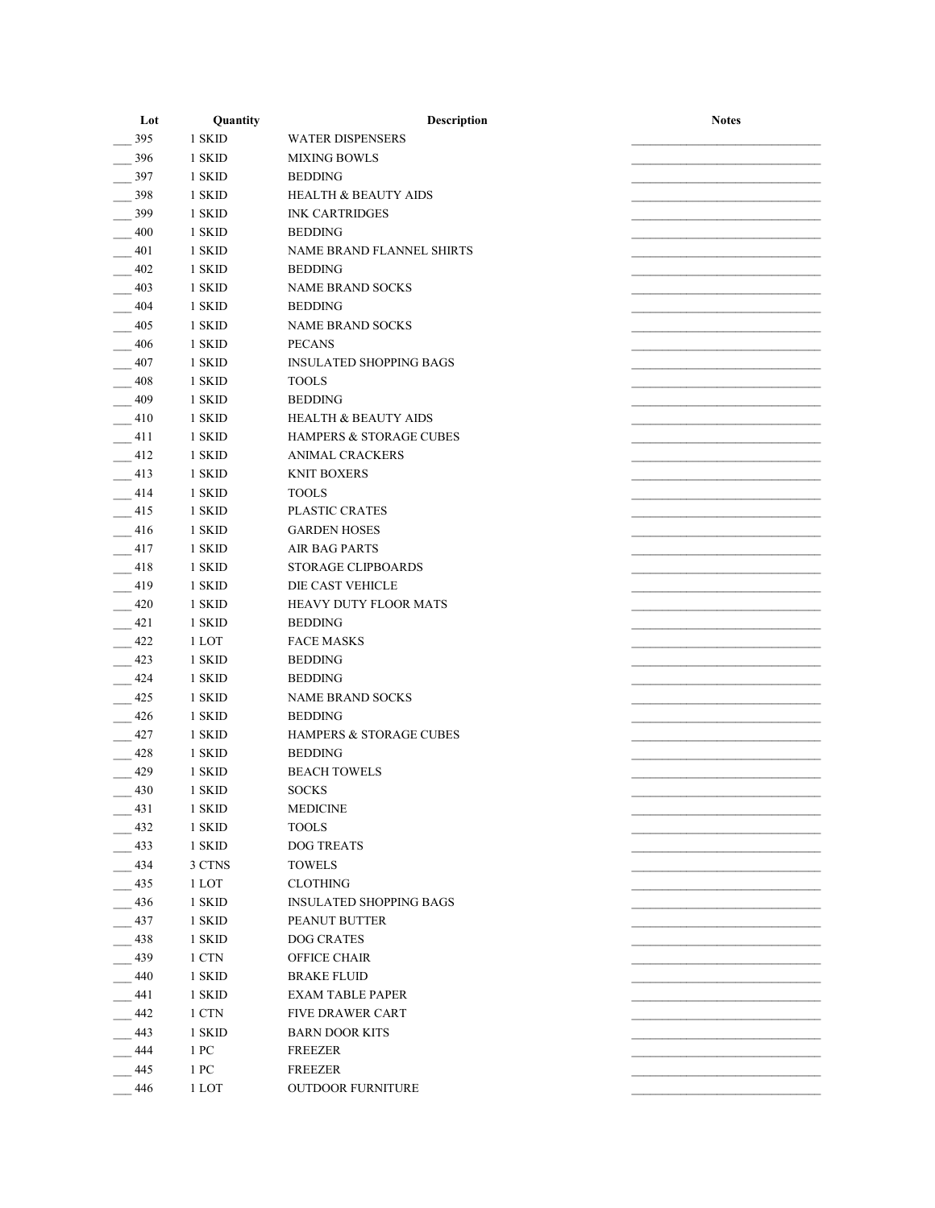| Lot | Quantity | Description                        | <b>Notes</b> |
|-----|----------|------------------------------------|--------------|
| 395 | 1 SKID   | <b>WATER DISPENSERS</b>            |              |
| 396 | 1 SKID   | <b>MIXING BOWLS</b>                |              |
| 397 | 1 SKID   | <b>BEDDING</b>                     |              |
| 398 | 1 SKID   | <b>HEALTH &amp; BEAUTY AIDS</b>    |              |
| 399 | 1 SKID   | <b>INK CARTRIDGES</b>              |              |
| 400 | 1 SKID   | <b>BEDDING</b>                     |              |
| 401 | 1 SKID   | NAME BRAND FLANNEL SHIRTS          |              |
| 402 | 1 SKID   | <b>BEDDING</b>                     |              |
| 403 | 1 SKID   | <b>NAME BRAND SOCKS</b>            |              |
| 404 | 1 SKID   | <b>BEDDING</b>                     |              |
| 405 | 1 SKID   | <b>NAME BRAND SOCKS</b>            |              |
| 406 | 1 SKID   | <b>PECANS</b>                      |              |
|     |          |                                    |              |
| 407 | 1 SKID   | <b>INSULATED SHOPPING BAGS</b>     |              |
| 408 | 1 SKID   | <b>TOOLS</b>                       |              |
| 409 | 1 SKID   | <b>BEDDING</b>                     |              |
| 410 | 1 SKID   | <b>HEALTH &amp; BEAUTY AIDS</b>    |              |
| 411 | 1 SKID   | <b>HAMPERS &amp; STORAGE CUBES</b> |              |
| 412 | 1 SKID   | <b>ANIMAL CRACKERS</b>             |              |
| 413 | 1 SKID   | <b>KNIT BOXERS</b>                 |              |
| 414 | 1 SKID   | <b>TOOLS</b>                       |              |
| 415 | 1 SKID   | PLASTIC CRATES                     |              |
| 416 | 1 SKID   | <b>GARDEN HOSES</b>                |              |
| 417 | 1 SKID   | <b>AIR BAG PARTS</b>               |              |
| 418 | 1 SKID   | STORAGE CLIPBOARDS                 |              |
| 419 | 1 SKID   | DIE CAST VEHICLE                   |              |
| 420 | 1 SKID   | HEAVY DUTY FLOOR MATS              |              |
| 421 | 1 SKID   | <b>BEDDING</b>                     |              |
| 422 | 1 LOT    | <b>FACE MASKS</b>                  |              |
| 423 | 1 SKID   | <b>BEDDING</b>                     |              |
| 424 | 1 SKID   | <b>BEDDING</b>                     |              |
| 425 | 1 SKID   | <b>NAME BRAND SOCKS</b>            |              |
|     | 1 SKID   | <b>BEDDING</b>                     |              |
| 426 |          |                                    |              |
| 427 | 1 SKID   | <b>HAMPERS &amp; STORAGE CUBES</b> |              |
| 428 | 1 SKID   | <b>BEDDING</b>                     |              |
| 429 | 1 SKID   | <b>BEACH TOWELS</b>                |              |
| 430 | 1 SKID   | <b>SOCKS</b>                       |              |
| 431 | 1 SKID   | <b>MEDICINE</b>                    |              |
| 432 | 1 SKID   | <b>TOOLS</b>                       |              |
| 433 | 1 SKID   | <b>DOG TREATS</b>                  |              |
| 434 | 3 CTNS   | <b>TOWELS</b>                      |              |
| 435 | 1 LOT    | <b>CLOTHING</b>                    |              |
| 436 | 1 SKID   | INSULATED SHOPPING BAGS            |              |
| 437 | 1 SKID   | PEANUT BUTTER                      |              |
| 438 | 1 SKID   | <b>DOG CRATES</b>                  |              |
| 439 | 1 CTN    | OFFICE CHAIR                       |              |
| 440 | 1 SKID   | <b>BRAKE FLUID</b>                 |              |
| 441 | 1 SKID   | <b>EXAM TABLE PAPER</b>            |              |
| 442 | 1 CTN    | <b>FIVE DRAWER CART</b>            |              |
| 443 | 1 SKID   | <b>BARN DOOR KITS</b>              |              |
| 444 | 1PC      | FREEZER                            |              |
| 445 | 1 PC     | <b>FREEZER</b>                     |              |
| 446 | 1 LOT    | <b>OUTDOOR FURNITURE</b>           |              |
|     |          |                                    |              |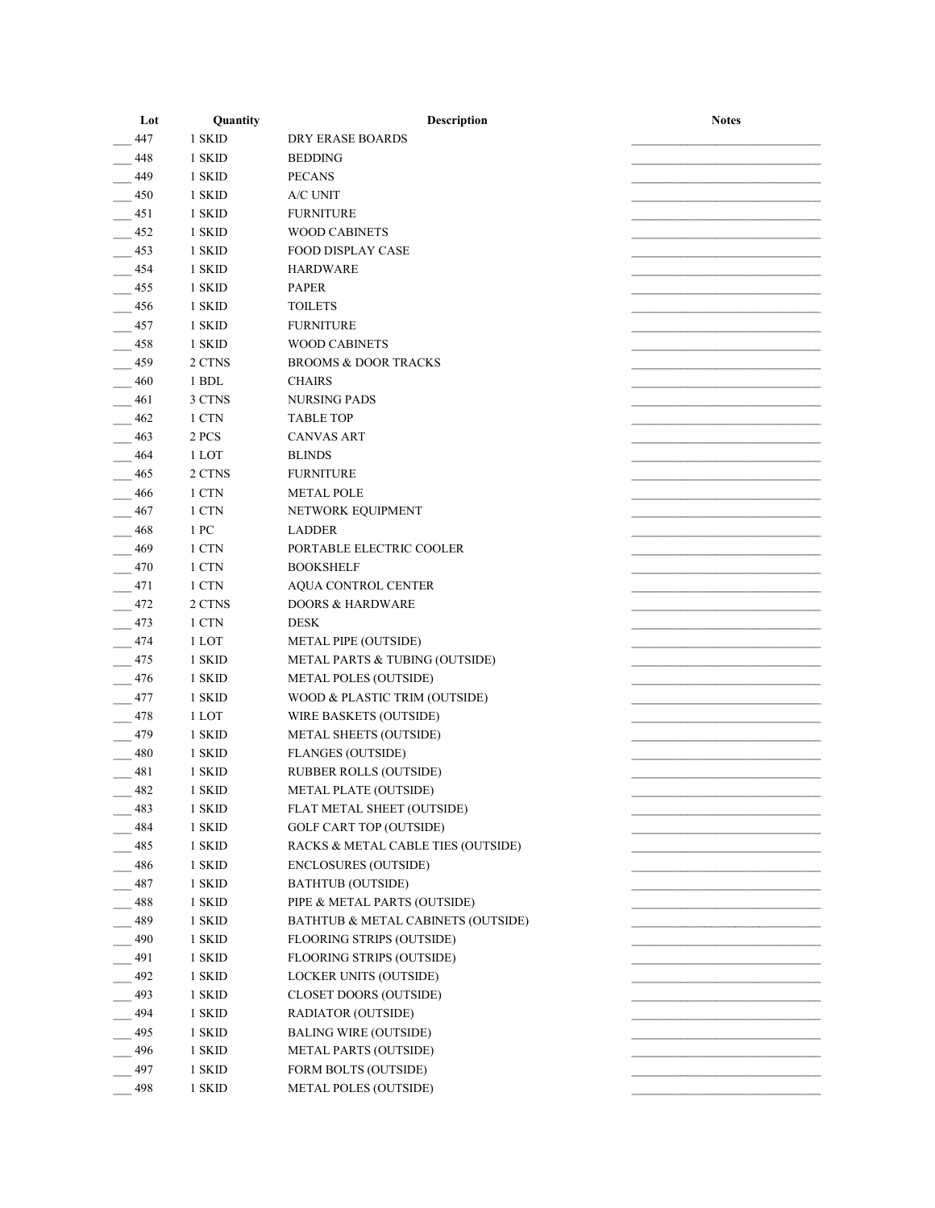| Lot        | Quantity        | Description                        | <b>Notes</b> |
|------------|-----------------|------------------------------------|--------------|
| 447        | 1 SKID          | DRY ERASE BOARDS                   |              |
| 448        | 1 SKID          | <b>BEDDING</b>                     |              |
| 449        | 1 SKID          | <b>PECANS</b>                      |              |
| 450        | 1 SKID          | A/C UNIT                           |              |
| 451        | 1 SKID          | <b>FURNITURE</b>                   |              |
| 452        | 1 SKID          | <b>WOOD CABINETS</b>               |              |
| 453        | 1 SKID          | <b>FOOD DISPLAY CASE</b>           |              |
| 454        | 1 SKID          | <b>HARDWARE</b>                    |              |
| 455        | 1 SKID          | <b>PAPER</b>                       |              |
| 456        | 1 SKID          | <b>TOILETS</b>                     |              |
| 457        | 1 SKID          | <b>FURNITURE</b>                   |              |
| 458        | 1 SKID          | <b>WOOD CABINETS</b>               |              |
| 459        | 2 CTNS          | <b>BROOMS &amp; DOOR TRACKS</b>    |              |
| 460        | 1 BDL           | <b>CHAIRS</b>                      |              |
| 461        | 3 CTNS          | <b>NURSING PADS</b>                |              |
| 462        | 1 CTN           | <b>TABLE TOP</b>                   |              |
| 463        | 2 PCS           | <b>CANVAS ART</b>                  |              |
| 464        | 1 LOT           | <b>BLINDS</b>                      |              |
| 465        | 2 CTNS          | <b>FURNITURE</b>                   |              |
|            |                 | <b>METAL POLE</b>                  |              |
| 466        | 1 CTN           |                                    |              |
| 467        | 1 CTN           | NETWORK EQUIPMENT                  |              |
| 468        | 1 PC            | <b>LADDER</b>                      |              |
| 469        | 1 CTN           | PORTABLE ELECTRIC COOLER           |              |
| 470        | 1 CTN           | <b>BOOKSHELF</b>                   |              |
| 471        | 1 CTN           | AQUA CONTROL CENTER                |              |
| 472        | 2 CTNS<br>1 CTN | <b>DOORS &amp; HARDWARE</b>        |              |
| 473<br>474 |                 | <b>DESK</b>                        |              |
|            | 1 LOT<br>1 SKID | METAL PIPE (OUTSIDE)               |              |
| 475<br>476 | 1 SKID          | METAL PARTS & TUBING (OUTSIDE)     |              |
|            |                 | <b>METAL POLES (OUTSIDE)</b>       |              |
| 477        | 1 SKID          | WOOD & PLASTIC TRIM (OUTSIDE)      |              |
| 478        | 1 LOT           | WIRE BASKETS (OUTSIDE)             |              |
| 479        | 1 SKID          | <b>METAL SHEETS (OUTSIDE)</b>      |              |
| 480        | 1 SKID          | <b>FLANGES (OUTSIDE)</b>           |              |
| 481        | 1 SKID          | <b>RUBBER ROLLS (OUTSIDE)</b>      |              |
| 482        | 1 SKID          | <b>METAL PLATE (OUTSIDE)</b>       |              |
| 483        | 1 SKID          | FLAT METAL SHEET (OUTSIDE)         |              |
| 484        | 1 SKID          | <b>GOLF CART TOP (OUTSIDE)</b>     |              |
| 485        | 1 SKID          | RACKS & METAL CABLE TIES (OUTSIDE) |              |
| 486        | 1 SKID          | <b>ENCLOSURES (OUTSIDE)</b>        |              |
| 487        | 1 SKID          | <b>BATHTUB (OUTSIDE)</b>           |              |
| 488        | 1 SKID          | PIPE & METAL PARTS (OUTSIDE)       |              |
| 489        | 1 SKID          | BATHTUB & METAL CABINETS (OUTSIDE) |              |
| 490        | 1 SKID          | <b>FLOORING STRIPS (OUTSIDE)</b>   |              |
| 491        | 1 SKID          | FLOORING STRIPS (OUTSIDE)          |              |
| 492        | 1 SKID          | LOCKER UNITS (OUTSIDE)             |              |
| 493        | 1 SKID          | <b>CLOSET DOORS (OUTSIDE)</b>      |              |
| 494        | 1 SKID          | RADIATOR (OUTSIDE)                 |              |
| 495        | 1 SKID          | <b>BALING WIRE (OUTSIDE)</b>       |              |
| 496        | 1 SKID          | <b>METAL PARTS (OUTSIDE)</b>       |              |
| 497        | 1 SKID          | FORM BOLTS (OUTSIDE)               |              |
| 498        | 1 SKID          | <b>METAL POLES (OUTSIDE)</b>       |              |